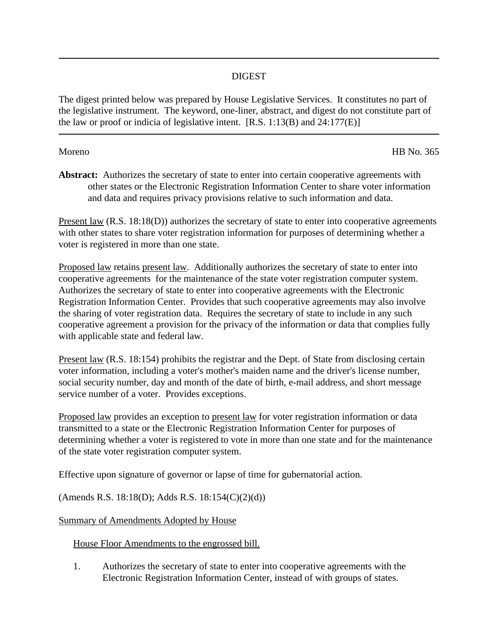## DIGEST

The digest printed below was prepared by House Legislative Services. It constitutes no part of the legislative instrument. The keyword, one-liner, abstract, and digest do not constitute part of the law or proof or indicia of legislative intent.  $[R.S. 1:13(B)$  and  $24:177(E)$ ]

Moreno HB No. 365

Abstract: Authorizes the secretary of state to enter into certain cooperative agreements with other states or the Electronic Registration Information Center to share voter information and data and requires privacy provisions relative to such information and data.

Present law (R.S. 18:18(D)) authorizes the secretary of state to enter into cooperative agreements with other states to share voter registration information for purposes of determining whether a voter is registered in more than one state.

Proposed law retains present law. Additionally authorizes the secretary of state to enter into cooperative agreements for the maintenance of the state voter registration computer system. Authorizes the secretary of state to enter into cooperative agreements with the Electronic Registration Information Center. Provides that such cooperative agreements may also involve the sharing of voter registration data. Requires the secretary of state to include in any such cooperative agreement a provision for the privacy of the information or data that complies fully with applicable state and federal law.

Present law (R.S. 18:154) prohibits the registrar and the Dept. of State from disclosing certain voter information, including a voter's mother's maiden name and the driver's license number, social security number, day and month of the date of birth, e-mail address, and short message service number of a voter. Provides exceptions.

Proposed law provides an exception to present law for voter registration information or data transmitted to a state or the Electronic Registration Information Center for purposes of determining whether a voter is registered to vote in more than one state and for the maintenance of the state voter registration computer system.

Effective upon signature of governor or lapse of time for gubernatorial action.

(Amends R.S. 18:18(D); Adds R.S. 18:154(C)(2)(d))

Summary of Amendments Adopted by House

House Floor Amendments to the engrossed bill.

1. Authorizes the secretary of state to enter into cooperative agreements with the Electronic Registration Information Center, instead of with groups of states.